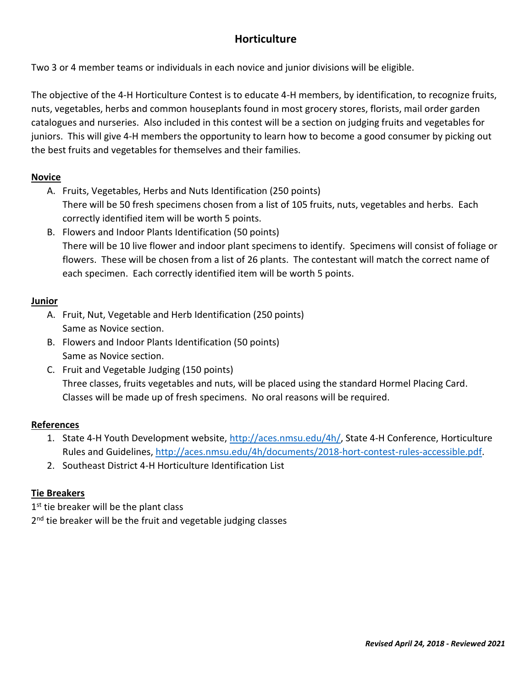# **Horticulture**

Two 3 or 4 member teams or individuals in each novice and junior divisions will be eligible.

The objective of the 4-H Horticulture Contest is to educate 4-H members, by identification, to recognize fruits, nuts, vegetables, herbs and common houseplants found in most grocery stores, florists, mail order garden catalogues and nurseries. Also included in this contest will be a section on judging fruits and vegetables for juniors. This will give 4-H members the opportunity to learn how to become a good consumer by picking out the best fruits and vegetables for themselves and their families.

## **Novice**

- A. Fruits, Vegetables, Herbs and Nuts Identification (250 points) There will be 50 fresh specimens chosen from a list of 105 fruits, nuts, vegetables and herbs. Each correctly identified item will be worth 5 points.
- B. Flowers and Indoor Plants Identification (50 points) There will be 10 live flower and indoor plant specimens to identify. Specimens will consist of foliage or flowers. These will be chosen from a list of 26 plants. The contestant will match the correct name of each specimen. Each correctly identified item will be worth 5 points.

## **Junior**

- A. Fruit, Nut, Vegetable and Herb Identification (250 points) Same as Novice section.
- B. Flowers and Indoor Plants Identification (50 points) Same as Novice section.
- C. Fruit and Vegetable Judging (150 points) Three classes, fruits vegetables and nuts, will be placed using the standard Hormel Placing Card. Classes will be made up of fresh specimens. No oral reasons will be required.

## **References**

- 1. State 4-H Youth Development website, [http://aces.nmsu.edu/4h/,](http://aces.nmsu.edu/4h/) State 4-H Conference, Horticulture Rules and Guidelines, [http://aces.nmsu.edu/4h/documents/2018-hort-contest-rules-accessible.pdf.](http://aces.nmsu.edu/4h/documents/2018-hort-contest-rules-accessible.pdf)
- 2. Southeast District 4-H Horticulture Identification List

## **Tie Breakers**

1<sup>st</sup> tie breaker will be the plant class 2<sup>nd</sup> tie breaker will be the fruit and vegetable judging classes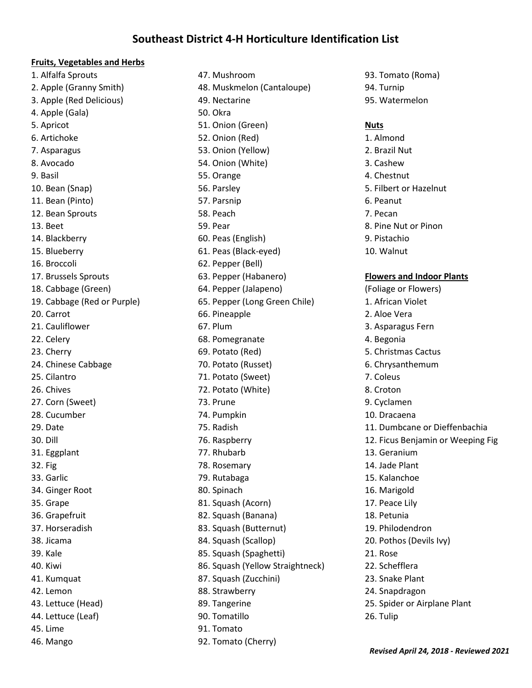## **Southeast District 4-H Horticulture Identification List**

#### **Fruits, Vegetables and Herbs**

1. Alfalfa Sprouts 2. Apple (Granny Smith) 3. Apple (Red Delicious) 4. Apple (Gala) 5. Apricot 6. Artichoke 7. Asparagus 8. Avocado 9. Basil 10. Bean (Snap) 11. Bean (Pinto) 12. Bean Sprouts 13. Beet 14. Blackberry 15. Blueberry 16. Broccoli 17. Brussels Sprouts 18. Cabbage (Green) 19. Cabbage (Red or Purple) 20. Carrot 21. Cauliflower 22. Celery 23. Cherry 24. Chinese Cabbage 25. Cilantro 26. Chives 27. Corn (Sweet) 28. Cucumber 29. Date 30. Dill 31. Eggplant 32. Fig 33. Garlic 34. Ginger Root 35. Grape 36. Grapefruit 37. Horseradish 38. Jicama 39. Kale 40. Kiwi 41. Kumquat 42. Lemon 43. Lettuce (Head) 44. Lettuce (Leaf) 45. Lime 46. Mango

47. Mushroom 48. Muskmelon (Cantaloupe) 49. Nectarine 50. Okra 51. Onion (Green) 52. Onion (Red) 53. Onion (Yellow) 54. Onion (White) 55. Orange 56. Parsley 57. Parsnip 58. Peach 59. Pear 60. Peas (English) 61. Peas (Black-eyed) 62. Pepper (Bell) 63. Pepper (Habanero) 64. Pepper (Jalapeno) 65. Pepper (Long Green Chile) 66. Pineapple 67. Plum 68. Pomegranate 69. Potato (Red) 70. Potato (Russet) 71. Potato (Sweet) 72. Potato (White) 73. Prune 74. Pumpkin 75. Radish 76. Raspberry 77. Rhubarb 78. Rosemary 79. Rutabaga 80. Spinach 81. Squash (Acorn) 82. Squash (Banana) 83. Squash (Butternut) 84. Squash (Scallop) 85. Squash (Spaghetti) 86. Squash (Yellow Straightneck) 87. Squash (Zucchini) 88. Strawberry 89. Tangerine 90. Tomatillo 91. Tomato 92. Tomato (Cherry)

93. Tomato (Roma) 94. Turnip 95. Watermelon

#### **Nuts**

1. Almond 2. Brazil Nut 3. Cashew 4. Chestnut 5. Filbert or Hazelnut 6. Peanut 7. Pecan 8. Pine Nut or Pinon 9. Pistachio 10. Walnut **Flowers and Indoor Plants**

(Foliage or Flowers) 1. African Violet 2. Aloe Vera 3. Asparagus Fern 4. Begonia 5. Christmas Cactus 6. Chrysanthemum 7. Coleus 8. Croton 9. Cyclamen 10. Dracaena 11. Dumbcane or Dieffenbachia 12. Ficus Benjamin or Weeping Fig 13. Geranium 14. Jade Plant 15. Kalanchoe 16. Marigold 17. Peace Lily 18. Petunia 19. Philodendron 20. Pothos (Devils Ivy) 21. Rose 22. Schefflera 23. Snake Plant 24. Snapdragon 25. Spider or Airplane Plant 26. Tulip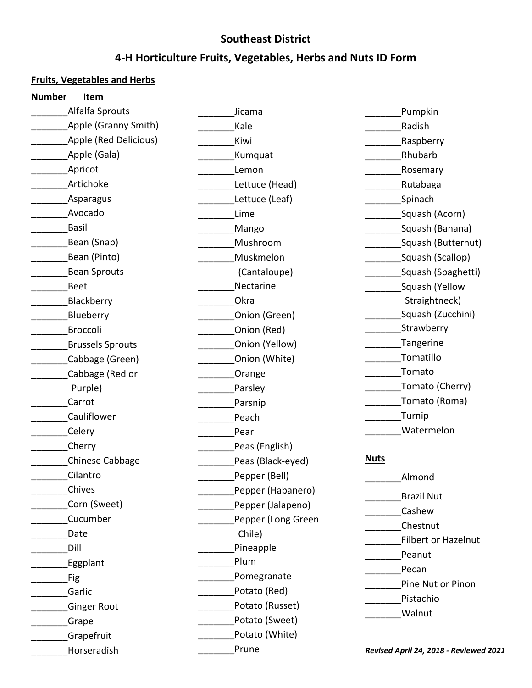# **Southeast District**

# **4-H Horticulture Fruits, Vegetables, Herbs and Nuts ID Form**

## **Fruits, Vegetables and Herbs**

| <b>Number</b><br>Item   |                    |                                        |
|-------------------------|--------------------|----------------------------------------|
| Alfalfa Sprouts         | Jicama             | Pumpkin                                |
| Apple (Granny Smith)    | Kale               | Radish                                 |
| Apple (Red Delicious)   | Kiwi               | Raspberry                              |
| Apple (Gala)            | Kumquat            | Rhubarb                                |
| Apricot                 | Lemon              | Rosemary                               |
| Artichoke               | Lettuce (Head)     | Rutabaga                               |
| Asparagus               | Lettuce (Leaf)     | Spinach                                |
| Avocado                 | Lime               | Squash (Acorn)                         |
| <b>Basil</b>            | Mango              | Squash (Banana)                        |
| Bean (Snap)             | Mushroom           | Squash (Butternut)                     |
| Bean (Pinto)            | Muskmelon          | Squash (Scallop)                       |
| <b>Bean Sprouts</b>     | (Cantaloupe)       | Squash (Spaghetti)                     |
| <b>Beet</b>             | Nectarine          | Squash (Yellow                         |
| Blackberry              | Okra               | Straightneck)                          |
| Blueberry               | Onion (Green)      | Squash (Zucchini)                      |
| Broccoli                | Onion (Red)        | Strawberry                             |
| <b>Brussels Sprouts</b> | Onion (Yellow)     | Tangerine                              |
| Cabbage (Green)         | Onion (White)      | Tomatillo                              |
| Cabbage (Red or         | Orange             | Tomato                                 |
| Purple)                 | Parsley            | Tomato (Cherry)                        |
| Carrot                  | Parsnip            | Tomato (Roma)                          |
| Cauliflower             | Peach              | Turnip                                 |
| Celery                  | Pear               | Watermelon                             |
| Cherry                  | Peas (English)     |                                        |
| Chinese Cabbage         | Peas (Black-eyed)  | <b>Nuts</b>                            |
| Cilantro                | Pepper (Bell)      | Almond                                 |
| Chives                  | Pepper (Habanero)  |                                        |
| Corn (Sweet)            | Pepper (Jalapeno)  | <b>Brazil Nut</b>                      |
| Cucumber                | Pepper (Long Green | Cashew                                 |
| Date                    | Chile)             | Chestnut                               |
| Dill                    | Pineapple          | <b>Filbert or Hazelnut</b>             |
| Eggplant                | Plum               | Peanut                                 |
| Fig                     | Pomegranate        | Pecan                                  |
| Garlic                  | Potato (Red)       | Pine Nut or Pinon                      |
| <b>Ginger Root</b>      | Potato (Russet)    | Pistachio                              |
| Grape                   | Potato (Sweet)     | Walnut                                 |
| Grapefruit              | Potato (White)     |                                        |
| Horseradish             | Prune              | Revised April 24, 2018 - Reviewed 2021 |